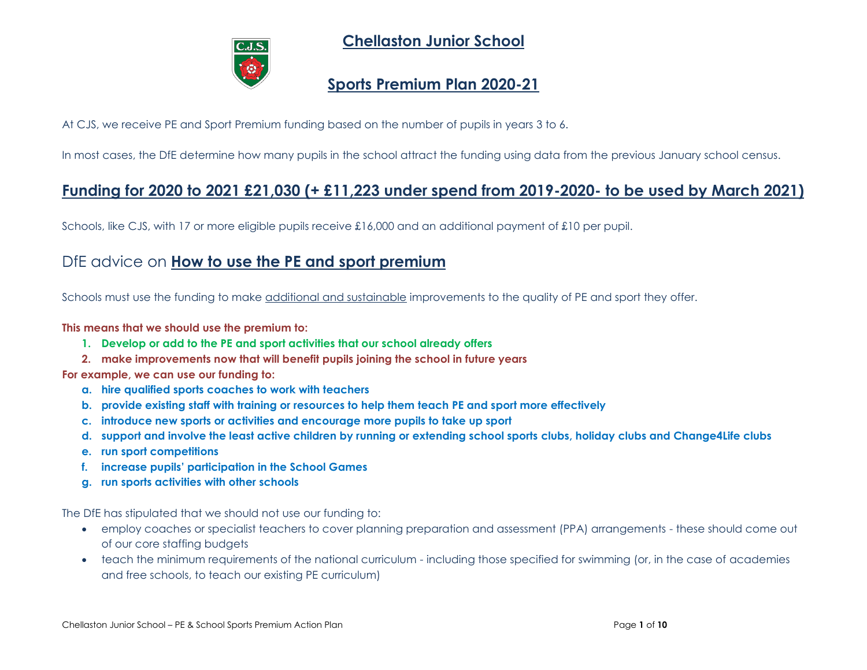

**Chellaston Junior School**

## **Sports Premium Plan 2020-21**

At CJS, we receive PE and Sport Premium funding based on the number of pupils in years 3 to 6.

In most cases, the DfE determine how many pupils in the school attract the funding using data from the previous January school census.

## **Funding for 2020 to 2021 £21,030 (+ £11,223 under spend from 2019-2020- to be used by March 2021)**

Schools, like CJS, with 17 or more eligible pupils receive £16,000 and an additional payment of £10 per pupil.

## DfE advice on **How to use the PE and sport premium**

Schools must use the funding to make additional and sustainable improvements to the quality of PE and sport they offer.

### **This means that we should use the premium to:**

- **1. Develop or add to the PE and sport activities that our school already offers**
- **2. make improvements now that will benefit pupils joining the school in future years**

**For example, we can use our funding to:**

- **a. hire qualified sports coaches to work with teachers**
- **b. provide existing staff with training or resources to help them teach PE and sport more effectively**
- **c. introduce new sports or activities and encourage more pupils to take up sport**
- **d. support and involve the least active children by running or extending school sports clubs, holiday clubs and Change4Life clubs**
- **e. run sport competitions**
- **f. increase pupils' participation in the School Games**
- **g. run sports activities with other schools**

The DfE has stipulated that we should not use our funding to:

- employ coaches or specialist teachers to cover planning preparation and assessment (PPA) arrangements these should come out of our core staffing budgets
- teach the minimum requirements of the national curriculum including those specified for swimming (or, in the case of academies and free schools, to teach our existing PE curriculum)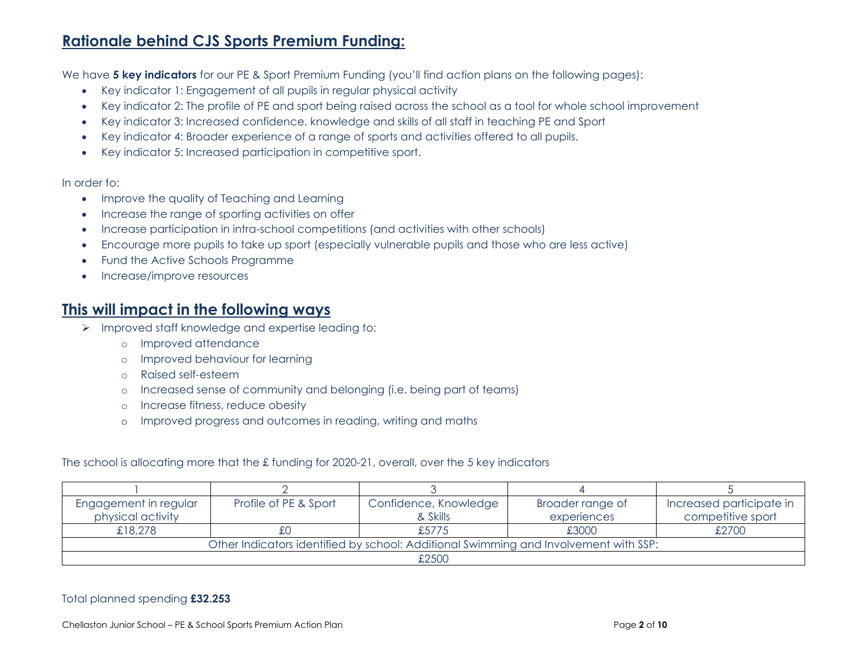# **Rationale behind CJS Sports Premium Funding:**

We have **5 key indicators** for our PE & Sport Premium Funding (you'll find action plans on the following pages):

- Key indicator 1: Engagement of all pupils in regular physical activity
- Key indicator 2: The profile of PE and sport being raised across the school as a tool for whole school improvement
- Key indicator 3: Increased confidence, knowledge and skills of all staff in teaching PE and Sport
- Key indicator 4: Broader experience of a range of sports and activities offered to all pupils.
- Key indicator 5: Increased participation in competitive sport.

#### In order to:

- Improve the quality of Teaching and Learning
- Increase the range of sporting activities on offer
- Increase participation in intra-school competitions (and activities with other schools)
- Encourage more pupils to take up sport (especially vulnerable pupils and those who are less active)
- Fund the Active Schools Programme
- Increase/improve resources

### **This will impact in the following ways**

- ➢ Improved staff knowledge and expertise leading to:
	- o Improved attendance
	- o Improved behaviour for learning
	- o Raised self-esteem
	- o Increased sense of community and belonging (i.e. being part of teams)
	- o Increase fitness, reduce obesity
	- o Improved progress and outcomes in reading, writing and maths

The school is allocating more that the £ funding for 2020-21, overall, over the 5 key indicators

| Engagement in regular                                                                | Profile of PE & Sport | Confidence, Knowledge | Broader range of | Increased participate in |  |  |
|--------------------------------------------------------------------------------------|-----------------------|-----------------------|------------------|--------------------------|--|--|
| physical activity                                                                    |                       | & Skills              | experiences      | competitive sport        |  |  |
| £18,278                                                                              |                       | £5775                 | £3000            | £2700                    |  |  |
| Other Indicators identified by school: Additional Swimming and Involvement with SSP: |                       |                       |                  |                          |  |  |
| £2500                                                                                |                       |                       |                  |                          |  |  |

### Total planned spending **£32.253**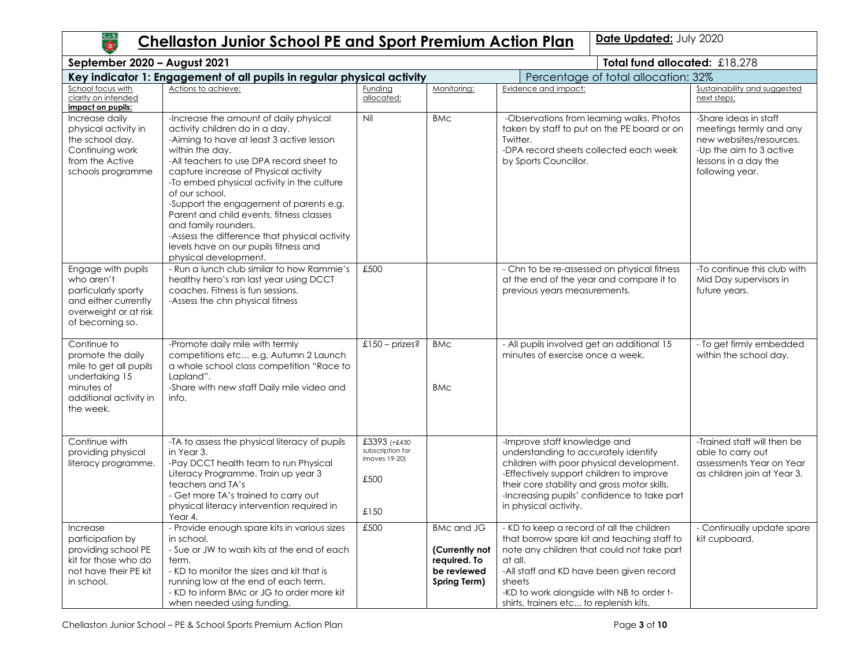# **Chellaston Junior School PE and Sport Premium Action Plan | Date Updated: July 2020**

| September 2020 - August 2021<br>Total fund allocated: £18,278                                                                     |                                                                                                                                                                                                                                                                                                                                                                                                                                                                                                                                |                                                                   |                                                                                    |                                                                                                                                                                                                                                                                                                 |                                                                                                                                                   |  |
|-----------------------------------------------------------------------------------------------------------------------------------|--------------------------------------------------------------------------------------------------------------------------------------------------------------------------------------------------------------------------------------------------------------------------------------------------------------------------------------------------------------------------------------------------------------------------------------------------------------------------------------------------------------------------------|-------------------------------------------------------------------|------------------------------------------------------------------------------------|-------------------------------------------------------------------------------------------------------------------------------------------------------------------------------------------------------------------------------------------------------------------------------------------------|---------------------------------------------------------------------------------------------------------------------------------------------------|--|
|                                                                                                                                   | Key indicator 1: Engagement of all pupils in regular physical activity                                                                                                                                                                                                                                                                                                                                                                                                                                                         |                                                                   |                                                                                    | Percentage of total allocation: 32%                                                                                                                                                                                                                                                             |                                                                                                                                                   |  |
| School focus with<br>clarity on intended<br>impact on pupils:                                                                     | Actions to achieve:                                                                                                                                                                                                                                                                                                                                                                                                                                                                                                            | Funding<br>allocated:                                             | Monitoring:                                                                        | Evidence and impact:                                                                                                                                                                                                                                                                            | Sustainability and suggested<br>next steps:                                                                                                       |  |
| Increase daily<br>physical activity in<br>the school day.<br>Continuing work<br>from the Active<br>schools programme              | -Increase the amount of daily physical<br>activity children do in a day.<br>-Aiming to have at least 3 active lesson<br>within the day.<br>-All teachers to use DPA record sheet to<br>capture increase of Physical activity<br>-To embed physical activity in the culture<br>of our school.<br>-Support the engagement of parents e.g.<br>Parent and child events, fitness classes<br>and family rounders.<br>-Assess the difference that physical activity<br>levels have on our pupils fitness and<br>physical development. | Nil                                                               | <b>BMC</b>                                                                         | -Observations from learning walks. Photos<br>taken by staff to put on the PE board or on<br>Twitter.<br>-DPA record sheets collected each week<br>by Sports Councillor.                                                                                                                         | -Share ideas in staff<br>meetings termly and any<br>new websites/resources.<br>-Up the aim to 3 active<br>lessons in a day the<br>following year. |  |
| Engage with pupils<br>who aren't<br>particularly sporty<br>and either currently<br>overweight or at risk<br>of becoming so.       | - Run a lunch club similar to how Rammie's<br>healthy hero's ran last year using DCCT<br>coaches. Fitness is fun sessions.<br>-Assess the chn physical fitness                                                                                                                                                                                                                                                                                                                                                                 | £500                                                              |                                                                                    | - Chn to be re-assessed on physical fitness<br>at the end of the year and compare it to<br>previous years measurements.                                                                                                                                                                         | -To continue this club with<br>Mid Day supervisors in<br>future years.                                                                            |  |
| Continue to<br>promote the daily<br>mile to get all pupils<br>undertaking 15<br>minutes of<br>additional activity in<br>the week. | -Promote daily mile with termly<br>competitions etc e.g. Autumn 2 Launch<br>a whole school class competition "Race to<br>Lapland".<br>-Share with new staff Daily mile video and<br>info.                                                                                                                                                                                                                                                                                                                                      | $£150 - prizes?$                                                  | <b>BMc</b><br><b>BMC</b>                                                           | - All pupils involved get an additional 15<br>minutes of exercise once a week.                                                                                                                                                                                                                  | - To get firmly embedded<br>within the school day.                                                                                                |  |
| Continue with<br>providing physical<br>literacy programme.                                                                        | -TA to assess the physical literacy of pupils<br>in Year 3.<br>-Pay DCCT health team to run Physical<br>Literacy Programme. Train up year 3<br>teachers and TA's<br>- Get more TA's trained to carry out<br>physical literacy intervention required in<br>Year 4.                                                                                                                                                                                                                                                              | £3393 (+£430<br>subscription for<br>imoves 19-20)<br>£500<br>£150 |                                                                                    | -Improve staff knowledge and<br>understanding to accurately identify<br>children with poor physical development.<br>-Effectively support children to improve<br>their core stability and gross motor skills.<br>-Increasing pupils' confidence to take part<br>in physical activity.            | -Trained staff will then be<br>able to carry out<br>assessments Year on Year<br>as children join at Year 3.                                       |  |
| Increase<br>participation by<br>providing school PE<br>kit for those who do<br>not have their PE kit<br>in school.                | - Provide enough spare kits in various sizes<br>in school.<br>- Sue or JW to wash kits at the end of each<br>term.<br>- KD to monitor the sizes and kit that is<br>running low at the end of each term.<br>- KD to inform BMc or JG to order more kit<br>when needed using funding.                                                                                                                                                                                                                                            | £500                                                              | <b>BMc and JG</b><br>(Currently not<br>required. To<br>be reviewed<br>Spring Term) | - KD to keep a record of all the children<br>that borrow spare kit and teaching staff to<br>note any children that could not take part<br>at all.<br>-All staff and KD have been given record<br>sheets<br>-KD to work alongside with NB to order t-<br>shirts, trainers etc to replenish kits. | - Continually update spare<br>kit cupboard.                                                                                                       |  |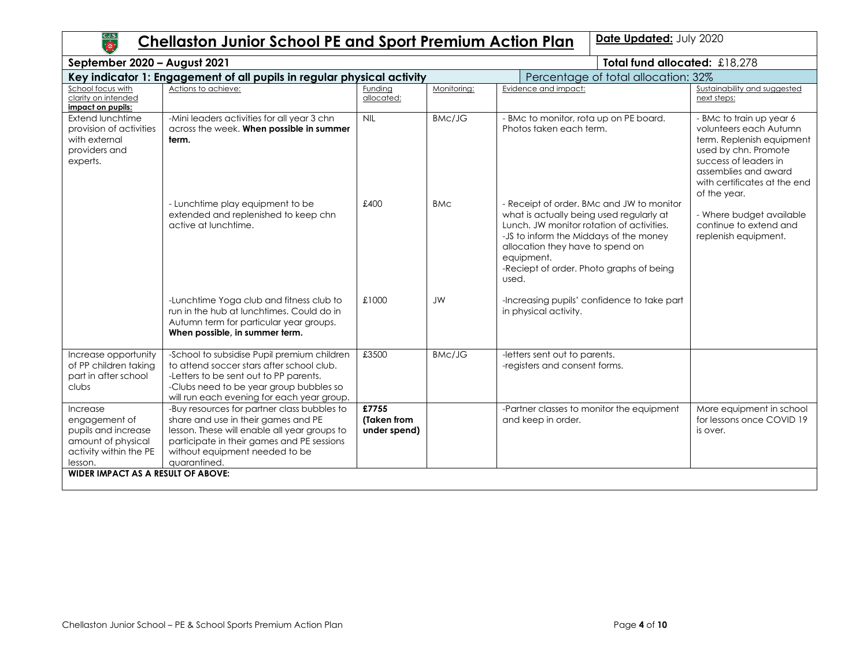# **Chellaston Junior School PE and Sport Premium Action Plan | Date Updated: July 2020**

| September 2020 - August 2021                                                                                |                                                                                                                                                                                                                                    |                                      |                                     | Total fund allocated: £18,278                                                                                                                                                                                                                                                       |                                                                                                                                                                                                          |  |
|-------------------------------------------------------------------------------------------------------------|------------------------------------------------------------------------------------------------------------------------------------------------------------------------------------------------------------------------------------|--------------------------------------|-------------------------------------|-------------------------------------------------------------------------------------------------------------------------------------------------------------------------------------------------------------------------------------------------------------------------------------|----------------------------------------------------------------------------------------------------------------------------------------------------------------------------------------------------------|--|
|                                                                                                             | Key indicator 1: Engagement of all pupils in regular physical activity                                                                                                                                                             |                                      | Percentage of total allocation: 32% |                                                                                                                                                                                                                                                                                     |                                                                                                                                                                                                          |  |
| School focus with<br>clarity on intended<br>impact on pupils:                                               | Actions to achieve:                                                                                                                                                                                                                | Funding<br>allocated:                | Monitoring:                         | Evidence and impact:                                                                                                                                                                                                                                                                | Sustainability and suggested<br>next steps:                                                                                                                                                              |  |
| Extend lunchtime<br>provision of activities<br>with external<br>providers and<br>experts.                   | -Mini leaders activities for all year 3 chn<br>across the week. When possible in summer<br>term.                                                                                                                                   | <b>NIL</b>                           | <b>BMc/JG</b>                       | - BMc to monitor, rota up on PE board.<br>Photos taken each term.                                                                                                                                                                                                                   | - BMc to train up year 6<br>volunteers each Autumn<br>term. Replenish equipment<br>used by chn. Promote<br>success of leaders in<br>assemblies and award<br>with certificates at the end<br>of the year. |  |
|                                                                                                             | - Lunchtime play equipment to be<br>extended and replenished to keep chn<br>active at lunchtime.                                                                                                                                   | £400                                 | <b>BMC</b>                          | - Receipt of order. BMc and JW to monitor<br>what is actually being used regularly at<br>Lunch. JW monitor rotation of activities.<br>-JS to inform the Middays of the money<br>allocation they have to spend on<br>equipment.<br>-Reciept of order. Photo graphs of being<br>used. | - Where budget available<br>continue to extend and<br>replenish equipment.                                                                                                                               |  |
|                                                                                                             | -Lunchtime Yoga club and fitness club to<br>run in the hub at lunchtimes. Could do in<br>Autumn term for particular year groups.<br>When possible, in summer term.                                                                 | £1000                                | <b>JW</b>                           | -Increasing pupils' confidence to take part<br>in physical activity.                                                                                                                                                                                                                |                                                                                                                                                                                                          |  |
| Increase opportunity<br>of PP children taking<br>part in after school<br>clubs                              | -School to subsidise Pupil premium children<br>to attend soccer stars after school club.<br>-Letters to be sent out to PP parents.<br>-Clubs need to be year group bubbles so<br>will run each evening for each year group.        | £3500                                | <b>BMc/JG</b>                       | -letters sent out to parents.<br>-registers and consent forms.                                                                                                                                                                                                                      |                                                                                                                                                                                                          |  |
| Increase<br>engagement of<br>pupils and increase<br>amount of physical<br>activity within the PE<br>lesson. | -Buy resources for partner class bubbles to<br>share and use in their games and PE<br>lesson. These will enable all year groups to<br>participate in their games and PE sessions<br>without equipment needed to be<br>auarantined. | £7755<br>(Taken from<br>under spend) |                                     | -Partner classes to monitor the equipment<br>and keep in order.                                                                                                                                                                                                                     | More equipment in school<br>for lessons once COVID 19<br>is over.                                                                                                                                        |  |
| WIDER IMPACT AS A RESULT OF ABOVE:                                                                          |                                                                                                                                                                                                                                    |                                      |                                     |                                                                                                                                                                                                                                                                                     |                                                                                                                                                                                                          |  |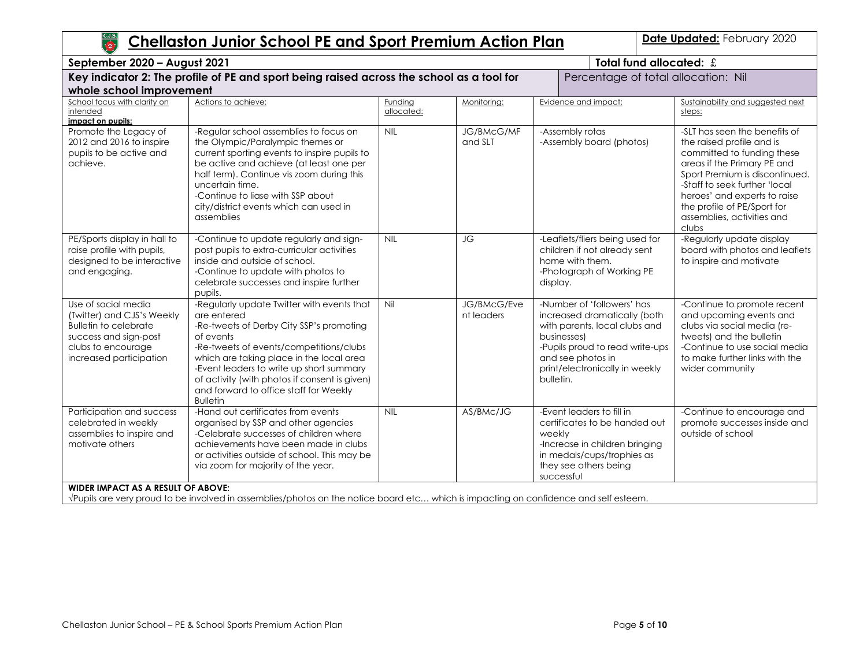| C.J.S.<br><b>TOP</b><br>Date Updated: February 2020<br><b>Chellaston Junior School PE and Sport Premium Action Plan</b>                                     |                                                                                                                                                                                                                                                                                                                                                                     |                       |                              |                                                                                                                                                                                                                   |                                                                                                                                                                                                                                                                                                  |  |
|-------------------------------------------------------------------------------------------------------------------------------------------------------------|---------------------------------------------------------------------------------------------------------------------------------------------------------------------------------------------------------------------------------------------------------------------------------------------------------------------------------------------------------------------|-----------------------|------------------------------|-------------------------------------------------------------------------------------------------------------------------------------------------------------------------------------------------------------------|--------------------------------------------------------------------------------------------------------------------------------------------------------------------------------------------------------------------------------------------------------------------------------------------------|--|
| September 2020 - August 2021                                                                                                                                |                                                                                                                                                                                                                                                                                                                                                                     |                       |                              | Total fund allocated: £                                                                                                                                                                                           |                                                                                                                                                                                                                                                                                                  |  |
| Key indicator 2: The profile of PE and sport being raised across the school as a tool for<br>whole school improvement                                       |                                                                                                                                                                                                                                                                                                                                                                     |                       |                              |                                                                                                                                                                                                                   | Percentage of total allocation: Nil                                                                                                                                                                                                                                                              |  |
| School focus with clarity on<br>intended<br>impact on pupils:                                                                                               | Actions to achieve:                                                                                                                                                                                                                                                                                                                                                 | Funding<br>allocated: | Monitoring:                  | Evidence and impact:                                                                                                                                                                                              | Sustainability and suggested next<br>steps:                                                                                                                                                                                                                                                      |  |
| Promote the Legacy of<br>2012 and 2016 to inspire<br>pupils to be active and<br>achieve.                                                                    | -Regular school assemblies to focus on<br>the Olympic/Paralympic themes or<br>current sporting events to inspire pupils to<br>be active and achieve (at least one per<br>half term). Continue vis zoom during this<br>uncertain time.<br>-Continue to liase with SSP about<br>city/district events which can used in<br>assemblies                                  | <b>NIL</b>            | <b>JG/BMcG/MF</b><br>and SLT | -Assembly rotas<br>-Assembly board (photos)                                                                                                                                                                       | -SLT has seen the benefits of<br>the raised profile and is<br>committed to funding these<br>areas if the Primary PE and<br>Sport Premium is discontinued.<br>-Staff to seek further 'local<br>heroes' and experts to raise<br>the profile of PE/Sport for<br>assemblies, activities and<br>clubs |  |
| PE/Sports display in hall to<br>raise profile with pupils,<br>designed to be interactive<br>and engaging.                                                   | -Continue to update regularly and sign-<br>post pupils to extra-curricular activities<br>inside and outside of school.<br>-Continue to update with photos to<br>celebrate successes and inspire further<br>pupils.                                                                                                                                                  | <b>NIL</b>            | JG                           | -Leaflets/fliers being used for<br>children if not already sent<br>home with them.<br>-Photograph of Working PE<br>display.                                                                                       | -Regularly update display<br>board with photos and leaflets<br>to inspire and motivate                                                                                                                                                                                                           |  |
| Use of social media<br>(Twitter) and CJS's Weekly<br><b>Bulletin to celebrate</b><br>success and sign-post<br>clubs to encourage<br>increased participation | -Regularly update Twitter with events that<br>are entered<br>-Re-tweets of Derby City SSP's promoting<br>of events<br>-Re-tweets of events/competitions/clubs<br>which are taking place in the local area<br>-Event leaders to write up short summary<br>of activity (with photos if consent is given)<br>and forward to office staff for Weekly<br><b>Bulletin</b> | Nil                   | JG/BMcG/Eve<br>nt leaders    | -Number of 'followers' has<br>increased dramatically (both<br>with parents, local clubs and<br>businesses)<br>-Pupils proud to read write-ups<br>and see photos in<br>print/electronically in weekly<br>bulletin. | -Continue to promote recent<br>and upcoming events and<br>clubs via social media (re-<br>tweets) and the bulletin<br>-Continue to use social media<br>to make further links with the<br>wider community                                                                                          |  |
| Participation and success<br>celebrated in weekly<br>assemblies to inspire and<br>motivate others                                                           | -Hand out certificates from events<br>organised by SSP and other agencies<br>-Celebrate successes of children where<br>achievements have been made in clubs<br>or activities outside of school. This may be<br>via zoom for majority of the year.                                                                                                                   | <b>NIL</b>            | AS/BMc/JG                    | -Event leaders to fill in<br>certificates to be handed out<br>weekly<br>-Increase in children bringing<br>in medals/cups/trophies as<br>they see others being<br>successful                                       | -Continue to encourage and<br>promote successes inside and<br>outside of school                                                                                                                                                                                                                  |  |
| <b>WIDER IMPACT AS A RESULT OF ABOVE:</b>                                                                                                                   | VPupils are very proud to be involved in assemblies/photos on the notice board etc which is impacting on confidence and self esteem.                                                                                                                                                                                                                                |                       |                              |                                                                                                                                                                                                                   |                                                                                                                                                                                                                                                                                                  |  |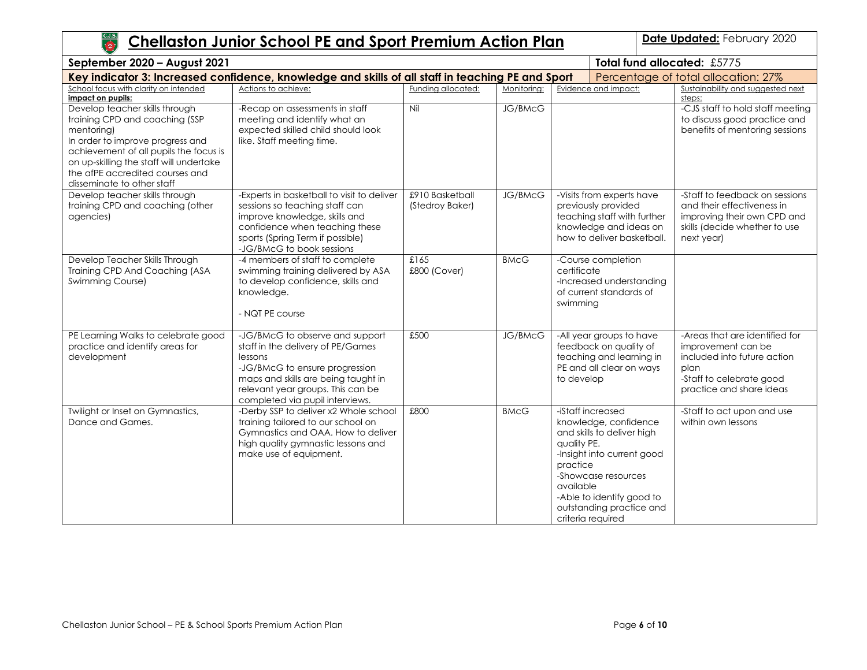| C.J.S.                                                                                                                                                                                                                                                                   | <b>Chellaston Junior School PE and Sport Premium Action Plan</b>                                                                                                                                                                 |                                    |                |                                                                                                                                                                                                                                                     | Date Updated: February 2020                                                                                                                         |
|--------------------------------------------------------------------------------------------------------------------------------------------------------------------------------------------------------------------------------------------------------------------------|----------------------------------------------------------------------------------------------------------------------------------------------------------------------------------------------------------------------------------|------------------------------------|----------------|-----------------------------------------------------------------------------------------------------------------------------------------------------------------------------------------------------------------------------------------------------|-----------------------------------------------------------------------------------------------------------------------------------------------------|
| September 2020 - August 2021                                                                                                                                                                                                                                             |                                                                                                                                                                                                                                  |                                    |                |                                                                                                                                                                                                                                                     | Total fund allocated: £5775                                                                                                                         |
|                                                                                                                                                                                                                                                                          | Key indicator 3: Increased confidence, knowledge and skills of all staff in teaching PE and Sport                                                                                                                                |                                    |                |                                                                                                                                                                                                                                                     | Percentage of total allocation: 27%                                                                                                                 |
| School focus with clarity on intended<br>impact on pupils:                                                                                                                                                                                                               | Actions to achieve:                                                                                                                                                                                                              | Funding allocated:                 | Monitoring:    | Evidence and impact:                                                                                                                                                                                                                                | Sustainability and suggested next<br>steps:                                                                                                         |
| Develop teacher skills through<br>training CPD and coaching (SSP<br>mentoring)<br>In order to improve progress and<br>achievement of all pupils the focus is<br>on up-skilling the staff will undertake<br>the afPE accredited courses and<br>disseminate to other staff | -Recap on assessments in staff<br>meeting and identify what an<br>expected skilled child should look<br>like. Staff meeting time.                                                                                                | Nil                                | <b>JG/BMcG</b> |                                                                                                                                                                                                                                                     | -CJS staff to hold staff meeting<br>to discuss good practice and<br>benefits of mentoring sessions                                                  |
| Develop teacher skills through<br>training CPD and coaching (other<br>agencies)                                                                                                                                                                                          | -Experts in basketball to visit to deliver<br>sessions so teaching staff can<br>improve knowledge, skills and<br>confidence when teaching these<br>sports (Spring Term if possible)<br>-JG/BMcG to book sessions                 | £910 Basketball<br>(Stedroy Baker) | <b>JG/BMcG</b> | -Visits from experts have<br>previously provided<br>teaching staff with further<br>knowledge and ideas on<br>how to deliver basketball.                                                                                                             | -Staff to feedback on sessions<br>and their effectiveness in<br>improving their own CPD and<br>skills (decide whether to use<br>next year)          |
| Develop Teacher Skills Through<br>Training CPD And Coaching (ASA<br>Swimming Course)                                                                                                                                                                                     | -4 members of staff to complete<br>swimming training delivered by ASA<br>to develop confidence, skills and<br>knowledge.<br>- NQT PE course                                                                                      | £165<br>£800 (Cover)               | <b>BMcG</b>    | -Course completion<br>certificate<br>-Increased understanding<br>of current standards of<br>swimming                                                                                                                                                |                                                                                                                                                     |
| PE Learning Walks to celebrate good<br>practice and identify areas for<br>development                                                                                                                                                                                    | -JG/BMcG to observe and support<br>staff in the delivery of PE/Games<br>lessons<br>-JG/BMcG to ensure progression<br>maps and skills are being taught in<br>relevant year groups. This can be<br>completed via pupil interviews. | £500                               | JG/BMcG        | -All year groups to have<br>feedback on quality of<br>teaching and learning in<br>PE and all clear on ways<br>to develop                                                                                                                            | -Areas that are identified for<br>improvement can be<br>included into future action<br>plan<br>-Staff to celebrate good<br>practice and share ideas |
| Twilight or Inset on Gymnastics,<br>Dance and Games.                                                                                                                                                                                                                     | -Derby SSP to deliver x2 Whole school<br>training tailored to our school on<br>Gymnastics and OAA. How to deliver<br>high quality gymnastic lessons and<br>make use of equipment.                                                | £800                               | <b>BMcG</b>    | -iStaff increased<br>knowledge, confidence<br>and skills to deliver high<br>quality PE.<br>-Insight into current good<br>practice<br>-Showcase resources<br>available<br>-Able to identify good to<br>outstanding practice and<br>criteria required | -Staff to act upon and use<br>within own lessons                                                                                                    |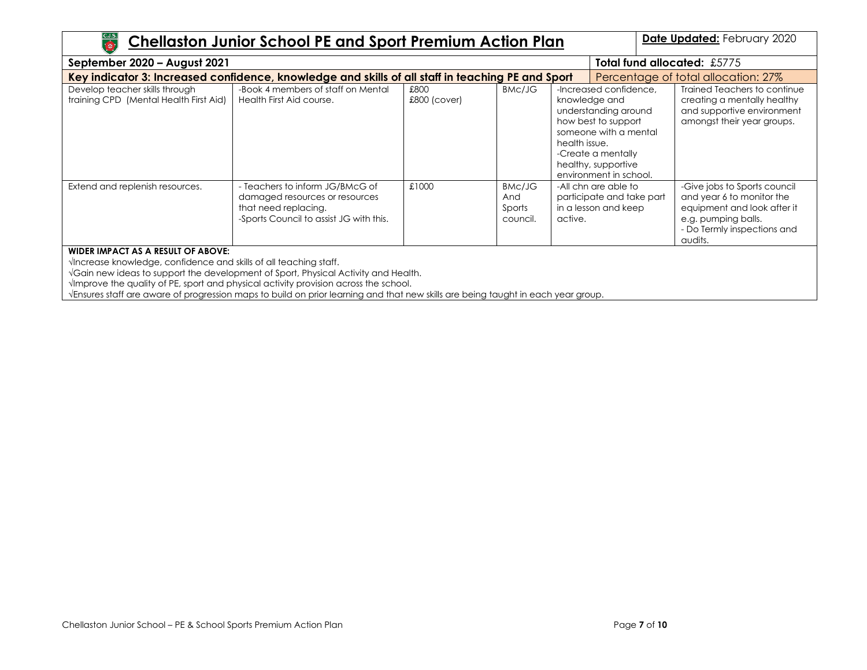| $rac{\text{C.J.S.}}{\text{10}}$<br>Date Updated: February 2020<br><b>Chellaston Junior School PE and Sport Premium Action Plan</b>       |                                                                                                                                                                                                                                                                                                                         |                        |                                     |                                                                                                                                                                                                         |                                                                                                                                                           |  |  |
|------------------------------------------------------------------------------------------------------------------------------------------|-------------------------------------------------------------------------------------------------------------------------------------------------------------------------------------------------------------------------------------------------------------------------------------------------------------------------|------------------------|-------------------------------------|---------------------------------------------------------------------------------------------------------------------------------------------------------------------------------------------------------|-----------------------------------------------------------------------------------------------------------------------------------------------------------|--|--|
| <b>Total fund allocated: £5775</b><br>September 2020 - August 2021                                                                       |                                                                                                                                                                                                                                                                                                                         |                        |                                     |                                                                                                                                                                                                         |                                                                                                                                                           |  |  |
| Key indicator 3: Increased confidence, knowledge and skills of all staff in teaching PE and Sport<br>Percentage of total allocation: 27% |                                                                                                                                                                                                                                                                                                                         |                        |                                     |                                                                                                                                                                                                         |                                                                                                                                                           |  |  |
| Develop teacher skills through<br>training CPD (Mental Health First Aid)                                                                 | -Book 4 members of staff on Mental<br>Health First Aid course.                                                                                                                                                                                                                                                          | £800<br>$£800$ (cover) | BMc/JG                              | -Increased confidence.<br>knowledge and<br>understanding around<br>how best to support<br>someone with a mental<br>health issue.<br>-Create a mentally<br>healthy, supportive<br>environment in school. | Trained Teachers to continue<br>creating a mentally healthy<br>and supportive environment<br>amongst their year groups.                                   |  |  |
| Extend and replenish resources.                                                                                                          | - Teachers to inform JG/BMcG of<br>damaged resources or resources<br>that need replacing.<br>-Sports Council to assist JG with this.                                                                                                                                                                                    | £1000                  | BMc/JG<br>And<br>Sports<br>council. | -All chn are able to<br>participate and take part<br>in a lesson and keep<br>active.                                                                                                                    | -Give jobs to Sports council<br>and year 6 to monitor the<br>equipment and look after it<br>e.g. pumping balls.<br>- Do Termly inspections and<br>audits. |  |  |
| WIDER IMPACT AS A RESULT OF ABOVE:<br>VIncrease knowledge, confidence and skills of all teaching staff.                                  | VGain new ideas to support the development of Sport, Physical Activity and Health.<br>$\sqrt{2}$ mprove the quality of PE, sport and physical activity provision across the school.<br>Vensures staff are aware of progression maps to build on prior learning and that new skills are being taught in each year group. |                        |                                     |                                                                                                                                                                                                         |                                                                                                                                                           |  |  |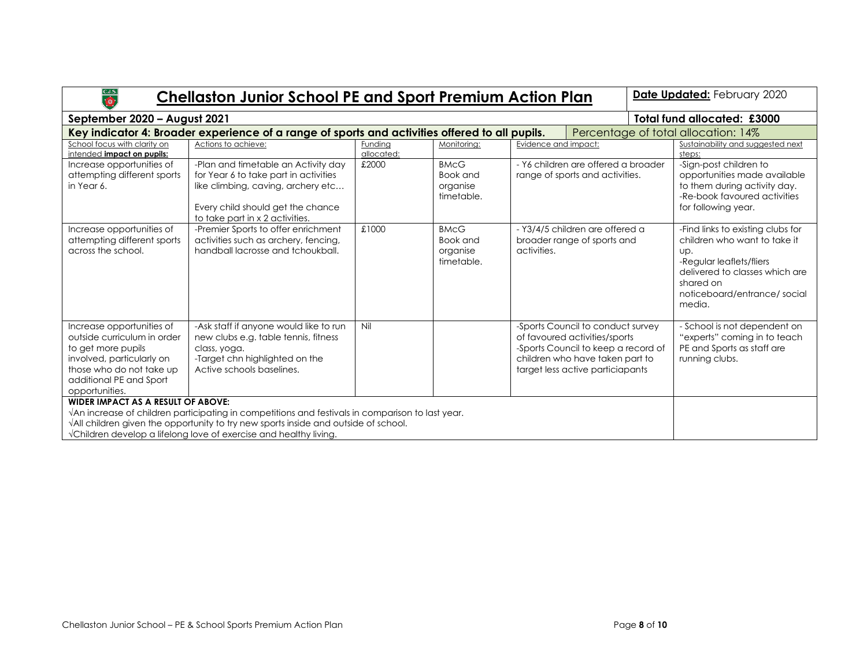| C.J.S.<br><b>Chellaston Junior School PE and Sport Premium Action Plan</b><br>$\bullet$                                                                                                                                                                                                                                  |                                                                                                                                                                                            |                                     |                                                   |                                                                               |                                                                                                                                                                                  |  | Date Updated: February 2020                                                                                                                                                                  |
|--------------------------------------------------------------------------------------------------------------------------------------------------------------------------------------------------------------------------------------------------------------------------------------------------------------------------|--------------------------------------------------------------------------------------------------------------------------------------------------------------------------------------------|-------------------------------------|---------------------------------------------------|-------------------------------------------------------------------------------|----------------------------------------------------------------------------------------------------------------------------------------------------------------------------------|--|----------------------------------------------------------------------------------------------------------------------------------------------------------------------------------------------|
| September 2020 - August 2021                                                                                                                                                                                                                                                                                             |                                                                                                                                                                                            | Total fund allocated: £3000         |                                                   |                                                                               |                                                                                                                                                                                  |  |                                                                                                                                                                                              |
| Key indicator 4: Broader experience of a range of sports and activities offered to all pupils.                                                                                                                                                                                                                           |                                                                                                                                                                                            | Percentage of total allocation: 14% |                                                   |                                                                               |                                                                                                                                                                                  |  |                                                                                                                                                                                              |
| School focus with clarity on<br>intended impact on pupils:                                                                                                                                                                                                                                                               | Actions to achieve:                                                                                                                                                                        | Fundina<br>allocated:               | Monitorina:                                       | Evidence and impact:                                                          |                                                                                                                                                                                  |  | Sustainability and suggested next<br>steps:                                                                                                                                                  |
| Increase opportunities of<br>attempting different sports<br>in Year 6.                                                                                                                                                                                                                                                   | -Plan and timetable an Activity day<br>for Year 6 to take part in activities<br>like climbing, caving, archery etc<br>Every child should get the chance<br>to take part in x 2 activities. | £2000                               | <b>BMcG</b><br>Book and<br>organise<br>timetable. |                                                                               | - Y6 children are offered a broader<br>range of sports and activities.                                                                                                           |  | -Sign-post children to<br>opportunities made available<br>to them during activity day.<br>-Re-book favoured activities<br>for following year.                                                |
| Increase opportunities of<br>attempting different sports<br>across the school.                                                                                                                                                                                                                                           | -Premier Sports to offer enrichment<br>activities such as archery, fencing,<br>handball lacrosse and tchoukball.                                                                           | £1000                               | <b>BMcG</b><br>Book and<br>organise<br>timetable. | - Y3/4/5 children are offered a<br>broader range of sports and<br>activities. |                                                                                                                                                                                  |  | -Find links to existing clubs for<br>children who want to take it<br>UD.<br>-Regular leaflets/fliers<br>delivered to classes which are<br>shared on<br>noticeboard/entrance/social<br>media. |
| Increase opportunities of<br>outside curriculum in order<br>to get more pupils<br>involved, particularly on<br>those who do not take up<br>additional PE and Sport<br>opportunities.                                                                                                                                     | -Ask staff if anyone would like to run<br>new clubs e.g. table tennis, fitness<br>class, yoga.<br>-Target chn highlighted on the<br>Active schools baselines.                              | Nil                                 |                                                   |                                                                               | -Sports Council to conduct survey<br>of favoured activities/sports<br>-Sports Council to keep a record of<br>children who have taken part to<br>target less active particiapants |  | - School is not dependent on<br>"experts" coming in to teach<br>PE and Sports as staff are<br>running clubs.                                                                                 |
| <b>WIDER IMPACT AS A RESULT OF ABOVE:</b><br>VAn increase of children participating in competitions and festivals in comparison to last year.<br>$\sqrt{\lambda}$ ll children given the opportunity to try new sports inside and outside of school.<br>VChildren develop a lifelong love of exercise and healthy living. |                                                                                                                                                                                            |                                     |                                                   |                                                                               |                                                                                                                                                                                  |  |                                                                                                                                                                                              |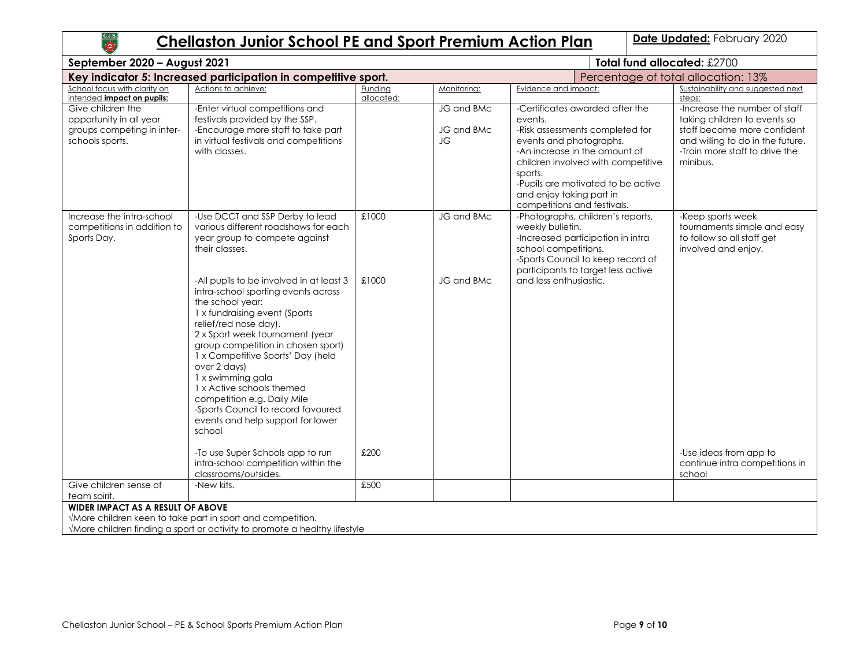# **Chellaston Junior School PE and Sport Premium Action Plan | Date Updated: February 2020**

| September 2020 - August 2021                                                                  |                                                                                                                                                                                                                                                                                                                                                                                                                                                                   | Total fund allocated: £2700 |                                |                                                                                                                                                                                                                                                                                             |                                                                                                                                                                                |  |
|-----------------------------------------------------------------------------------------------|-------------------------------------------------------------------------------------------------------------------------------------------------------------------------------------------------------------------------------------------------------------------------------------------------------------------------------------------------------------------------------------------------------------------------------------------------------------------|-----------------------------|--------------------------------|---------------------------------------------------------------------------------------------------------------------------------------------------------------------------------------------------------------------------------------------------------------------------------------------|--------------------------------------------------------------------------------------------------------------------------------------------------------------------------------|--|
|                                                                                               | Key indicator 5: Increased participation in competitive sport.                                                                                                                                                                                                                                                                                                                                                                                                    |                             |                                | Percentage of total allocation: 13%                                                                                                                                                                                                                                                         |                                                                                                                                                                                |  |
| School focus with clarity on<br>intended impact on pupils:                                    | Actions to achieve:                                                                                                                                                                                                                                                                                                                                                                                                                                               | Funding<br>allocated:       | Monitoring:                    | Evidence and impact:                                                                                                                                                                                                                                                                        | Sustainability and suggested next<br>steps:                                                                                                                                    |  |
| Give children the<br>opportunity in all year<br>groups competing in inter-<br>schools sports. | -Enter virtual competitions and<br>festivals provided by the SSP.<br>-Encourage more staff to take part<br>in virtual festivals and competitions<br>with classes.                                                                                                                                                                                                                                                                                                 |                             | JG and BMc<br>JG and BMc<br>JG | -Certificates awarded after the<br>events.<br>-Risk assessments completed for<br>events and photographs.<br>-An increase in the amount of<br>children involved with competitive<br>sports.<br>-Pupils are motivated to be active<br>and enjoy taking part in<br>competitions and festivals. | -Increase the number of staff<br>taking children to events so<br>staff become more confident<br>and willing to do in the future.<br>-Train more staff to drive the<br>minibus. |  |
| Increase the intra-school<br>competitions in addition to<br>Sports Day.                       | -Use DCCT and SSP Derby to lead<br>various different roadshows for each<br>year group to compete against<br>their classes.                                                                                                                                                                                                                                                                                                                                        | £1000                       | JG and BMc                     | -Photographs, children's reports,<br>weekly bulletin.<br>-Increased participation in intra<br>school competitions.<br>-Sports Council to keep record of<br>participants to target less active                                                                                               | -Keep sports week<br>tournaments simple and easy<br>to follow so all staff get<br>involved and enjoy.                                                                          |  |
|                                                                                               | -All pupils to be involved in at least 3<br>intra-school sporting events across<br>the school year:<br>1 x fundraising event (Sports<br>relief/red nose day).<br>2 x Sport week tournament (year<br>group competition in chosen sport)<br>1 x Competitive Sports' Day (held<br>over 2 days)<br>1 x swimming gala<br>1 x Active schools themed<br>competition e.g. Daily Mile<br>-Sports Council to record favoured<br>events and help support for lower<br>school | £1000                       | JG and BMc                     | and less enthusiastic.                                                                                                                                                                                                                                                                      |                                                                                                                                                                                |  |
|                                                                                               | -To use Super Schools app to run<br>intra-school competition within the<br>classrooms/outsides.                                                                                                                                                                                                                                                                                                                                                                   | £200                        |                                |                                                                                                                                                                                                                                                                                             | -Use ideas from app to<br>continue intra competitions in<br>school                                                                                                             |  |
| Give children sense of<br>team spirit.                                                        | -New kits.                                                                                                                                                                                                                                                                                                                                                                                                                                                        | £500                        |                                |                                                                                                                                                                                                                                                                                             |                                                                                                                                                                                |  |
| WIDER IMPACT AS A RESULT OF ABOVE                                                             | VMore children keen to take part in sport and competition.<br>VMore children finding a sport or activity to promote a healthy lifestyle                                                                                                                                                                                                                                                                                                                           |                             |                                |                                                                                                                                                                                                                                                                                             |                                                                                                                                                                                |  |